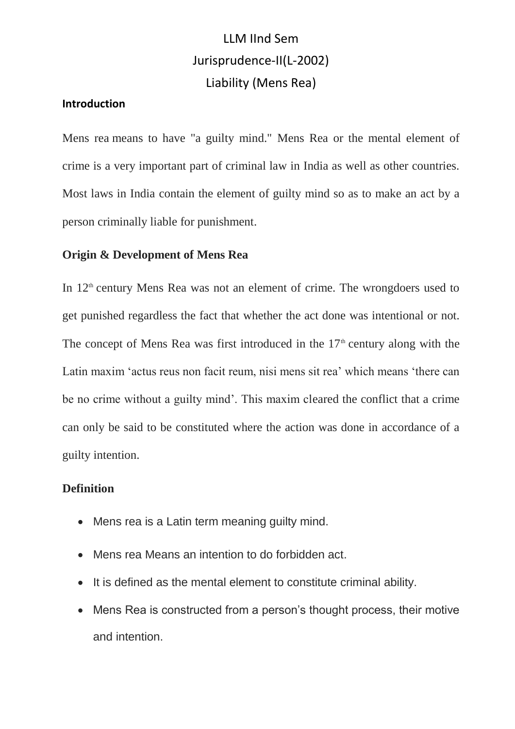# LLM IInd Sem Jurisprudence-II(L-2002) Liability (Mens Rea)

## **Introduction**

Mens rea means to have "a guilty mind." Mens Rea or the mental element of crime is a very important part of criminal law in India as well as other countries. Most laws in India contain the element of guilty mind so as to make an act by a person criminally liable for punishment.

## **Origin & Development of Mens Rea**

In  $12<sup>th</sup>$  century Mens Rea was not an element of crime. The wrongdoers used to get punished regardless the fact that whether the act done was intentional or not. The concept of Mens Rea was first introduced in the  $17<sup>th</sup>$  century along with the Latin maxim 'actus reus non facit reum, nisi mens sit rea' which means 'there can be no crime without a guilty mind'. This maxim cleared the conflict that a crime can only be said to be constituted where the action was done in accordance of a guilty intention.

#### **Definition**

- Mens rea is a Latin term meaning guilty mind.
- Mens rea Means an intention to do forbidden act.
- It is defined as the mental element to constitute criminal ability.
- Mens Rea is constructed from a person's thought process, their motive and intention.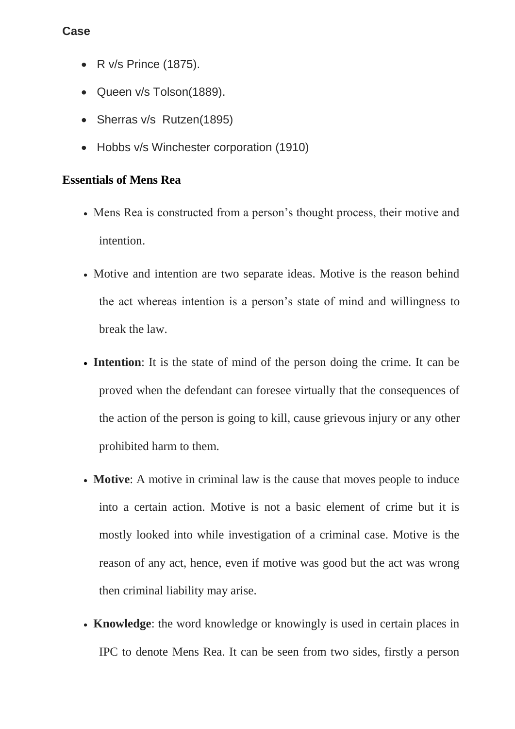## **Case**

- R v/s Prince (1875).
- Queen v/s Tolson(1889).
- Sherras v/s Rutzen(1895)
- Hobbs v/s Winchester corporation (1910)

## **Essentials of Mens Rea**

- Mens Rea is constructed from a person's thought process, their motive and intention.
- Motive and intention are two separate ideas. Motive is the reason behind the act whereas intention is a person's state of mind and willingness to break the law.
- **Intention**: It is the state of mind of the person doing the crime. It can be proved when the defendant can foresee virtually that the consequences of the action of the person is going to kill, cause grievous injury or any other prohibited harm to them.
- **Motive**: A motive in criminal law is the cause that moves people to induce into a certain action. Motive is not a basic element of crime but it is mostly looked into while investigation of a criminal case. Motive is the reason of any act, hence, even if motive was good but the act was wrong then criminal liability may arise.
- **Knowledge**: the word knowledge or knowingly is used in certain places in IPC to denote Mens Rea. It can be seen from two sides, firstly a person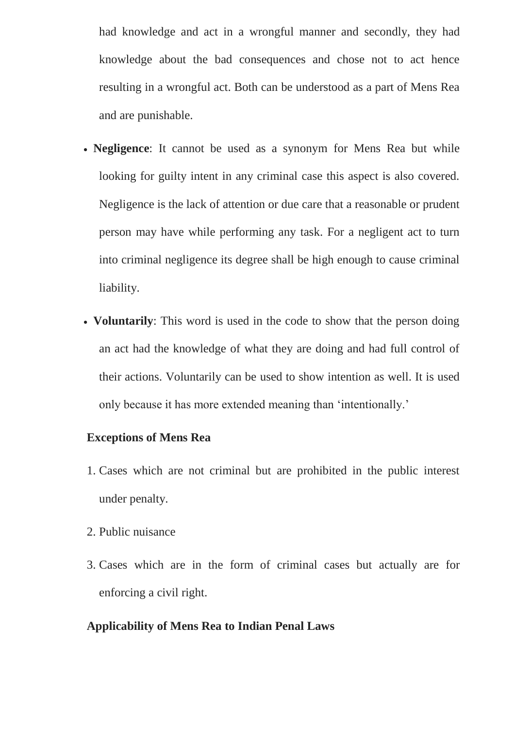had knowledge and act in a wrongful manner and secondly, they had knowledge about the bad consequences and chose not to act hence resulting in a wrongful act. Both can be understood as a part of Mens Rea and are punishable.

- **Negligence**: It cannot be used as a synonym for Mens Rea but while looking for guilty intent in any criminal case this aspect is also covered. Negligence is the lack of attention or due care that a reasonable or prudent person may have while performing any task. For a negligent act to turn into criminal negligence its degree shall be high enough to cause criminal liability.
- **Voluntarily**: This word is used in the code to show that the person doing an act had the knowledge of what they are doing and had full control of their actions. Voluntarily can be used to show intention as well. It is used only because it has more extended meaning than 'intentionally.'

### **Exceptions of Mens Rea**

- 1. Cases which are not criminal but are prohibited in the public interest under penalty.
- 2. Public nuisance
- 3. Cases which are in the form of criminal cases but actually are for enforcing a civil right.

#### **Applicability of Mens Rea to Indian Penal Laws**